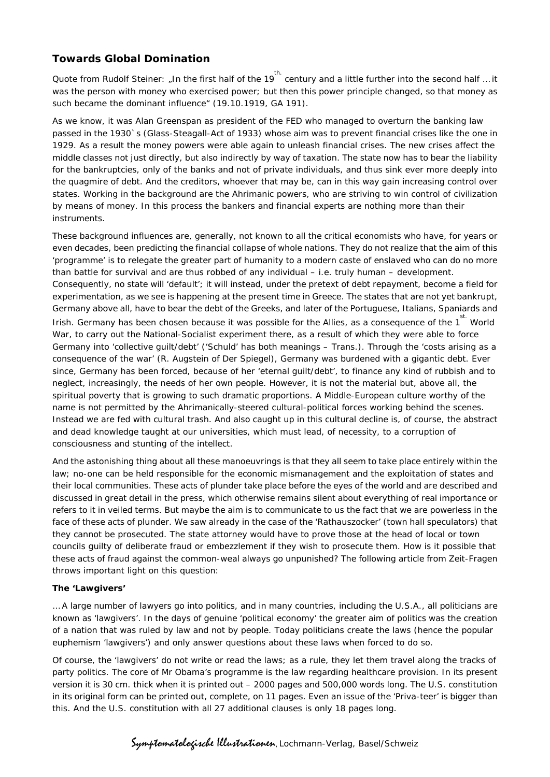# **Towards Global Domination**

Quote from Rudolf Steiner: "In the first half of the 19<sup>th.</sup> century and a little further into the second half … it was the person with money who exercised power; but then this power principle changed, so that money as such became the dominant influence" (19.10.1919, GA 191).

As we know, it was Alan Greenspan as president of the FED who managed to overturn the banking law passed in the 1930`s (Glass-Steagall-Act of 1933) whose aim was to prevent financial crises like the one in 1929. As a result the money powers were able again to unleash financial crises. The new crises affect the middle classes not just directly, but also indirectly by way of taxation. The state now has to bear the liability for the bankruptcies, only of the banks and not of private individuals, and thus sink ever more deeply into the quagmire of debt. And the creditors, whoever that may be, can in this way gain increasing control over states. Working in the background are the Ahrimanic powers, who are striving to win control of civilization by means of money. In this process the bankers and financial experts are nothing more than their instruments.

These background influences are, generally, not known to all the critical economists who have, for years or even decades, been predicting the financial collapse of whole nations. They do not realize that the aim of this 'programme' is to relegate the greater part of humanity to a modern caste of enslaved who can do no more than battle for survival and are thus robbed of any individual – i.e. truly human – development. Consequently, no state will 'default'; it will instead, under the pretext of debt repayment, become a field for experimentation, as we see is happening at the present time in Greece. The states that are not yet bankrupt, Germany above all, have to bear the debt of the Greeks, and later of the Portuguese, Italians, Spaniards and Irish. Germany has been chosen because it was possible for the Allies, as a consequence of the 1 World War, to carry out the National-Socialist experiment there, as a result of which they were able to force Germany into 'collective guilt/debt' ('Schuld' has both meanings – Trans.). Through the 'costs arising as a consequence of the war' (R. Augstein of *Der Spiegel*), Germany was burdened with a gigantic debt. Ever since, Germany has been forced, because of her 'eternal guilt/debt', to finance any kind of rubbish and to neglect, increasingly, the needs of her own people. However, it is not the material but, above all, the spiritual poverty that is growing to such dramatic proportions. A Middle-European culture worthy of the name is not permitted by the Ahrimanically-steered cultural-political forces working behind the scenes. Instead we are fed with cultural trash. And also caught up in this cultural decline is, of course, the abstract and dead knowledge taught at our universities, which must lead, of necessity, to a corruption of consciousness and stunting of the intellect.

And the astonishing thing about all these manoeuvrings is that they all seem to take place entirely within the law; no-one can be held responsible for the economic mismanagement and the exploitation of states and their local communities. These acts of plunder take place before the eyes of the world and are described and discussed in great detail in the press, which otherwise remains silent about everything of real importance or refers to it in veiled terms. But maybe the aim is to communicate to us the fact that we are powerless in the face of these acts of plunder. We saw already in the case of the 'Rathauszocker' (town hall speculators) that they cannot be prosecuted. The state attorney would have to prove those at the head of local or town councils guilty of deliberate fraud or embezzlement if they wish to prosecute them. How is it possible that these acts of fraud against the common-weal always go unpunished? The following article from *Zeit-Fragen*  throws important light on this question:

## **The 'Lawgivers'**

… A large number of lawyers go into politics, and in many countries, including the U.S.A., all politicians are known as 'lawgivers'. In the days of genuine 'political economy' the greater aim of politics was the creation of a nation that was ruled by law and not by people. Today politicians create the laws (hence the popular euphemism 'lawgivers') and only answer questions about these laws when forced to do so.

Of course, the 'lawgivers' do not write or read the laws; as a rule, they let them travel along the tracks of party politics. The core of Mr Obama's programme is the law regarding healthcare provision. In its present version it is 30 cm. thick when it is printed out – 2000 pages and 500,000 words long. The U.S. constitution in its original form can be printed out, complete, on 11 pages. Even an issue of the 'Priva-teer' is bigger than this. And the U.S. constitution with all 27 additional clauses is only 1*8* pages long.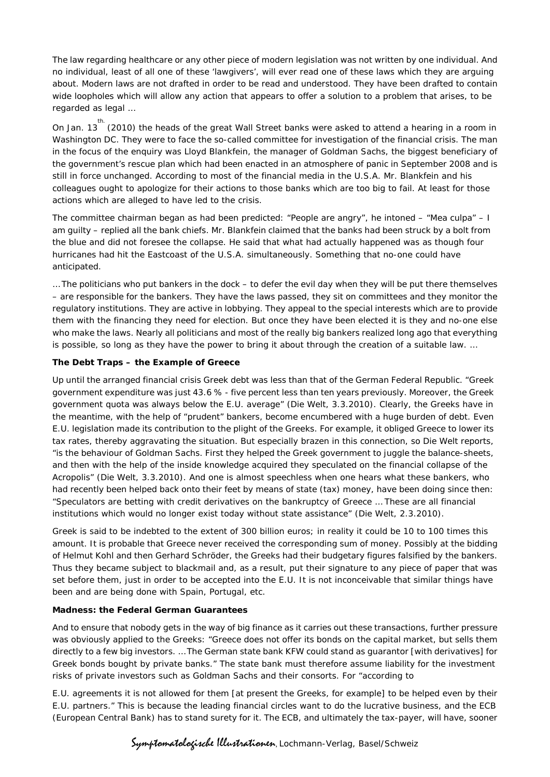The law regarding healthcare or any other piece of modern legislation was not written by one individual. And no individual, least of all one of these 'lawgivers', will ever read one of these laws which they are arguing about. Modern laws are not drafted in order to be read and understood. They have been drafted to contain wide loopholes which will allow any action that appears to offer a solution to a problem that arises, to be regarded as legal …

On Jan. 13  $t^{\text{th}}$  (2010) the heads of the great Wall Street banks were asked to attend a hearing in a room in Washington DC. They were to face the so-called committee for investigation of the financial crisis. The man in the focus of the enquiry was Lloyd Blankfein, the manager of Goldman Sachs, the biggest beneficiary of the government's rescue plan which had been enacted in an atmosphere of panic in September 2008 and is still in force unchanged. According to most of the financial media in the U.S.A. Mr. Blankfein and his colleagues ought to apologize for their actions to those banks which are too big to fail. At least for those actions which are alleged to have led to the crisis.

The committee chairman began as had been predicted: "People are angry", he intoned – "Mea culpa" – I am guilty – replied all the bank chiefs. Mr. Blankfein claimed that the banks had been struck by a bolt from the blue and did not foresee the collapse. He said that what had actually happened was as though four hurricanes had hit the Eastcoast of the U.S.A. simultaneously. Something that no-one could have anticipated.

… The politicians who put bankers in the dock – to defer the evil day when they will be put there themselves – are responsible for the bankers. They have the laws passed, they sit on committees and they monitor the regulatory institutions. They are active in lobbying. They appeal to the special interests which are to provide them with the financing they need for election. But once they have been elected it is they and no-one else who make the laws. Nearly all politicians and most of the really big bankers realized long ago that everything is possible, so long as they have the power to bring it about through the creation of a suitable law. …

## **The Debt Traps – the Example of Greece**

Up until the arranged financial crisis Greek debt was less than that of the German Federal Republic. "Greek government expenditure was just 43.6 % - five percent less than ten years previously. Moreover, the Greek government quota was always below the E.U. average" (*Die Welt*, 3.3.2010). Clearly, the Greeks have in the meantime, with the help of "prudent" bankers, become encumbered with a huge burden of debt. Even E.U. legislation made its contribution to the plight of the Greeks. For example, it obliged Greece to lower its tax rates, thereby aggravating the situation. But especially brazen in this connection, so *Die Welt* reports, "is the behaviour of Goldman Sachs. First they helped the Greek government to juggle the balance-sheets, and then with the help of the inside knowledge acquired they speculated on the financial collapse of the Acropolis" (*Die Welt,* 3.3.2010). And one is almost speechless when one hears what these bankers, who had recently been helped back onto their feet by means of state (tax) money, have been doing since then: "Speculators are betting with credit derivatives on the bankruptcy of Greece … These are all financial institutions which would no longer exist today without state assistance" (*Die Welt,* 2.3.2010).

Greek is said to be indebted to the extent of 300 billion euros; in reality it could be 10 to 100 times this amount. It is probable that Greece never received the corresponding sum of money. Possibly at the bidding of Helmut Kohl and then Gerhard Schröder, the Greeks had their budgetary figures falsified by the bankers. Thus they became subject to blackmail and, as a result, put their signature to any piece of paper that was set before them, just in order to be accepted into the E.U. It is not inconceivable that similar things have been and are being done with Spain, Portugal, etc.

## **Madness: the Federal German Guarantees**

And to ensure that nobody gets in the way of big finance as it carries out these transactions, further pressure was obviously applied to the Greeks: "Greece does not offer its bonds on the capital market, but sells them directly to a few big investors. … The German state bank KFW could stand as guarantor [with derivatives] for Greek bonds bought by private banks." The state bank must therefore assume liability for the investment risks of private investors such as Goldman Sachs and their consorts. For "according to

E.U. agreements it is not allowed for them [at present the Greeks, for example] to be helped even by their E.U. partners." This is because the leading financial circles want to do the lucrative business, and the ECB (European Central Bank) has to stand surety for it. The ECB, and ultimately the tax-payer, will have, sooner

Symptomatologische Illustrationen, Lochmann-Verlag, Basel/Schweiz